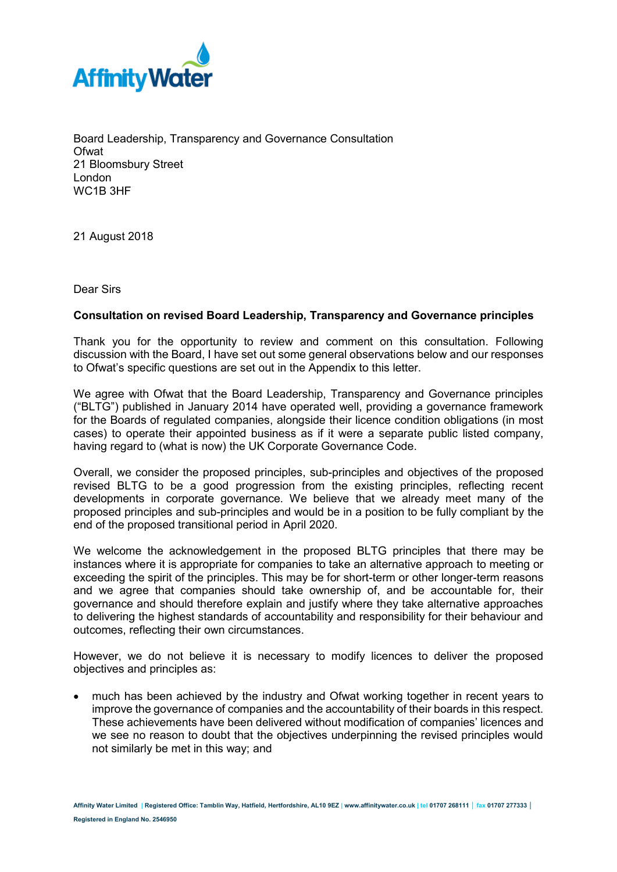

Board Leadership, Transparency and Governance Consultation **Ofwat** 21 Bloomsbury Street London WC1B 3HF

21 August 2018

Dear Sirs

## **Consultation on revised Board Leadership, Transparency and Governance principles**

Thank you for the opportunity to review and comment on this consultation. Following discussion with the Board, I have set out some general observations below and our responses to Ofwat's specific questions are set out in the Appendix to this letter.

We agree with Ofwat that the Board Leadership, Transparency and Governance principles ("BLTG") published in January 2014 have operated well, providing a governance framework for the Boards of regulated companies, alongside their licence condition obligations (in most cases) to operate their appointed business as if it were a separate public listed company, having regard to (what is now) the UK Corporate Governance Code.

Overall, we consider the proposed principles, sub-principles and objectives of the proposed revised BLTG to be a good progression from the existing principles, reflecting recent developments in corporate governance. We believe that we already meet many of the proposed principles and sub-principles and would be in a position to be fully compliant by the end of the proposed transitional period in April 2020.

We welcome the acknowledgement in the proposed BLTG principles that there may be instances where it is appropriate for companies to take an alternative approach to meeting or exceeding the spirit of the principles. This may be for short-term or other longer-term reasons and we agree that companies should take ownership of, and be accountable for, their governance and should therefore explain and justify where they take alternative approaches to delivering the highest standards of accountability and responsibility for their behaviour and outcomes, reflecting their own circumstances.

However, we do not believe it is necessary to modify licences to deliver the proposed objectives and principles as:

• much has been achieved by the industry and Ofwat working together in recent years to improve the governance of companies and the accountability of their boards in this respect. These achievements have been delivered without modification of companies' licences and we see no reason to doubt that the objectives underpinning the revised principles would not similarly be met in this way; and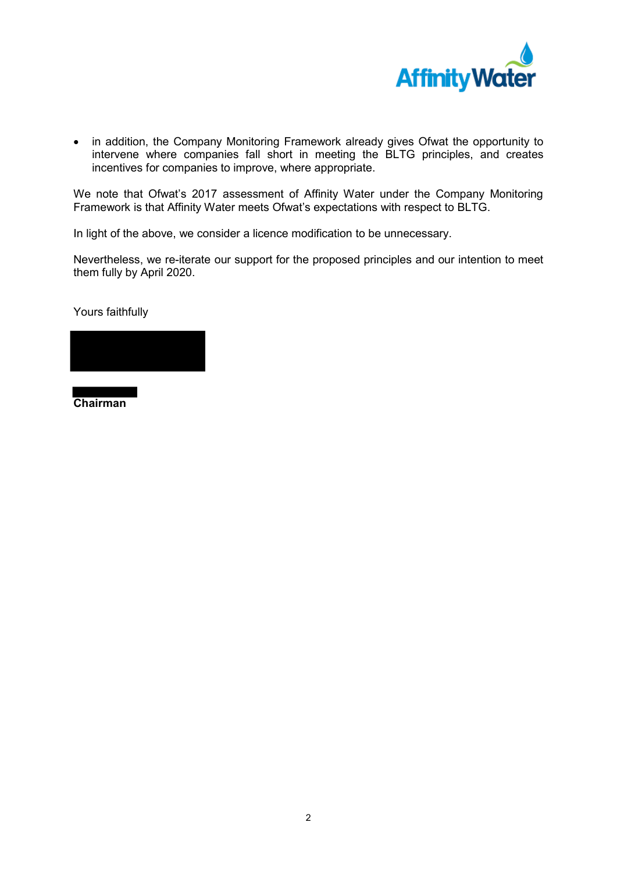

• in addition, the Company Monitoring Framework already gives Ofwat the opportunity to intervene where companies fall short in meeting the BLTG principles, and creates incentives for companies to improve, where appropriate.

We note that Ofwat's 2017 assessment of Affinity Water under the Company Monitoring Framework is that Affinity Water meets Ofwat's expectations with respect to BLTG.

In light of the above, we consider a licence modification to be unnecessary.

Nevertheless, we re-iterate our support for the proposed principles and our intention to meet them fully by April 2020.

Yours faithfully

**Chairman**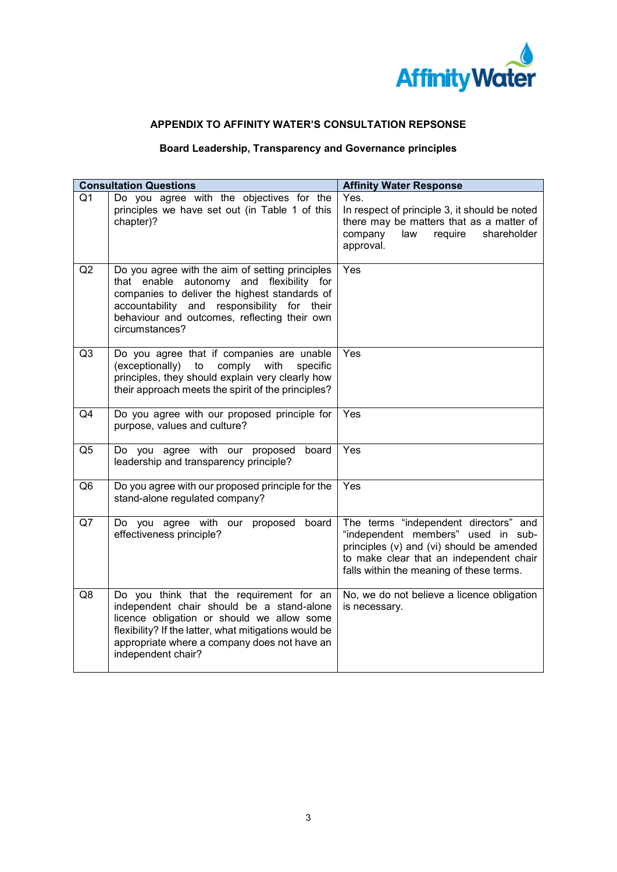

## **APPENDIX TO AFFINITY WATER'S CONSULTATION REPSONSE**

## **Board Leadership, Transparency and Governance principles**

| <b>Consultation Questions</b> |                                                                                                                                                                                                                                                                    | <b>Affinity Water Response</b>                                                                                                                                                                                  |
|-------------------------------|--------------------------------------------------------------------------------------------------------------------------------------------------------------------------------------------------------------------------------------------------------------------|-----------------------------------------------------------------------------------------------------------------------------------------------------------------------------------------------------------------|
| Q <sub>1</sub>                | Do you agree with the objectives for the<br>principles we have set out (in Table 1 of this<br>chapter)?                                                                                                                                                            | Yes.<br>In respect of principle 3, it should be noted<br>there may be matters that as a matter of<br>require<br>shareholder<br>company<br>law<br>approval.                                                      |
| Q2                            | Do you agree with the aim of setting principles<br>that enable autonomy and flexibility for<br>companies to deliver the highest standards of<br>accountability and responsibility for their<br>behaviour and outcomes, reflecting their own<br>circumstances?      | Yes                                                                                                                                                                                                             |
| Q <sub>3</sub>                | Do you agree that if companies are unable<br>(exceptionally)<br>comply with<br>specific<br>to<br>principles, they should explain very clearly how<br>their approach meets the spirit of the principles?                                                            | Yes                                                                                                                                                                                                             |
| Q4                            | Do you agree with our proposed principle for<br>purpose, values and culture?                                                                                                                                                                                       | Yes                                                                                                                                                                                                             |
| Q <sub>5</sub>                | Do you agree with our proposed<br>board<br>leadership and transparency principle?                                                                                                                                                                                  | Yes                                                                                                                                                                                                             |
| Q <sub>6</sub>                | Do you agree with our proposed principle for the<br>stand-alone regulated company?                                                                                                                                                                                 | Yes                                                                                                                                                                                                             |
| Q7                            | agree with our proposed<br>Do you<br>board<br>effectiveness principle?                                                                                                                                                                                             | The terms "independent directors" and<br>"independent members" used in sub-<br>principles (v) and (vi) should be amended<br>to make clear that an independent chair<br>falls within the meaning of these terms. |
| Q8                            | Do you think that the requirement for an<br>independent chair should be a stand-alone<br>licence obligation or should we allow some<br>flexibility? If the latter, what mitigations would be<br>appropriate where a company does not have an<br>independent chair? | No, we do not believe a licence obligation<br>is necessary.                                                                                                                                                     |